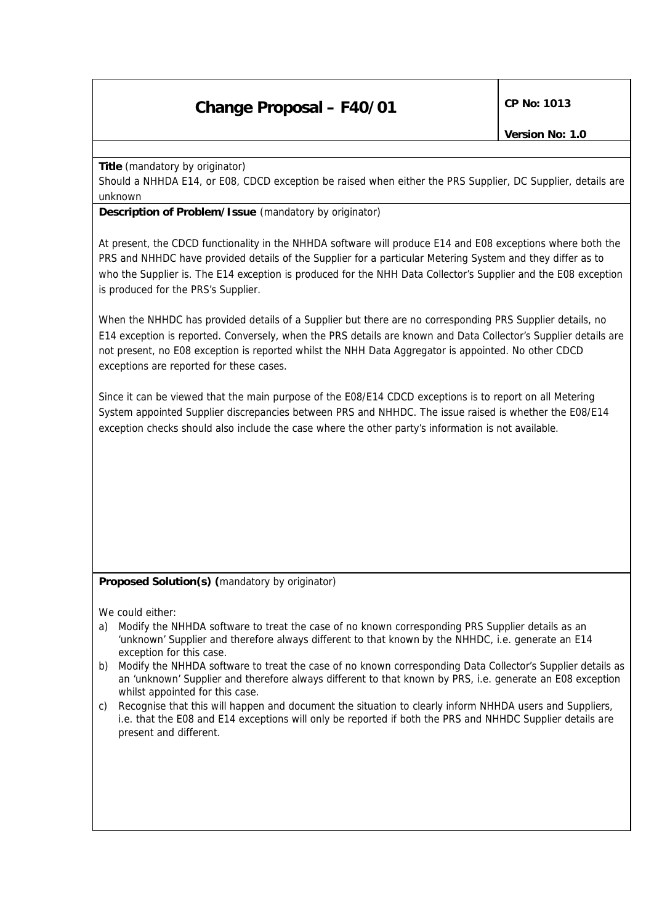## **Change Proposal – F40/01** CP No: 1013

**Title** *(mandatory by originator)*

Should a NHHDA E14, or E08, CDCD exception be raised when either the PRS Supplier, DC Supplier, details are unknown

**Description of Problem/Issue** *(mandatory by originator)*

At present, the CDCD functionality in the NHHDA software will produce E14 and E08 exceptions where both the PRS and NHHDC have provided details of the Supplier for a particular Metering System and they differ as to who the Supplier is. The E14 exception is produced for the NHH Data Collector's Supplier and the E08 exception is produced for the PRS's Supplier.

When the NHHDC has provided details of a Supplier but there are no corresponding PRS Supplier details, no E14 exception is reported. Conversely, when the PRS details are known and Data Collector's Supplier details are not present, no E08 exception is reported whilst the NHH Data Aggregator is appointed. No other CDCD exceptions are reported for these cases.

Since it can be viewed that the main purpose of the E08/E14 CDCD exceptions is to report on all Metering System appointed Supplier discrepancies between PRS and NHHDC. The issue raised is whether the E08/E14 exception checks should also include the case where the other party's information is not available.

## **Proposed Solution(s)** *(mandatory by originator)*

We could either:

- a) Modify the NHHDA software to treat the case of no known corresponding PRS Supplier details as an 'unknown' Supplier and therefore always different to that known by the NHHDC, i.e. generate an E14 exception for this case.
- b) Modify the NHHDA software to treat the case of no known corresponding Data Collector's Supplier details as an 'unknown' Supplier and therefore always different to that known by PRS, i.e. generate an E08 exception whilst appointed for this case.
- c) Recognise that this will happen and document the situation to clearly inform NHHDA users and Suppliers, i.e. that the E08 and E14 exceptions will only be reported if both the PRS and NHHDC Supplier details are present and different.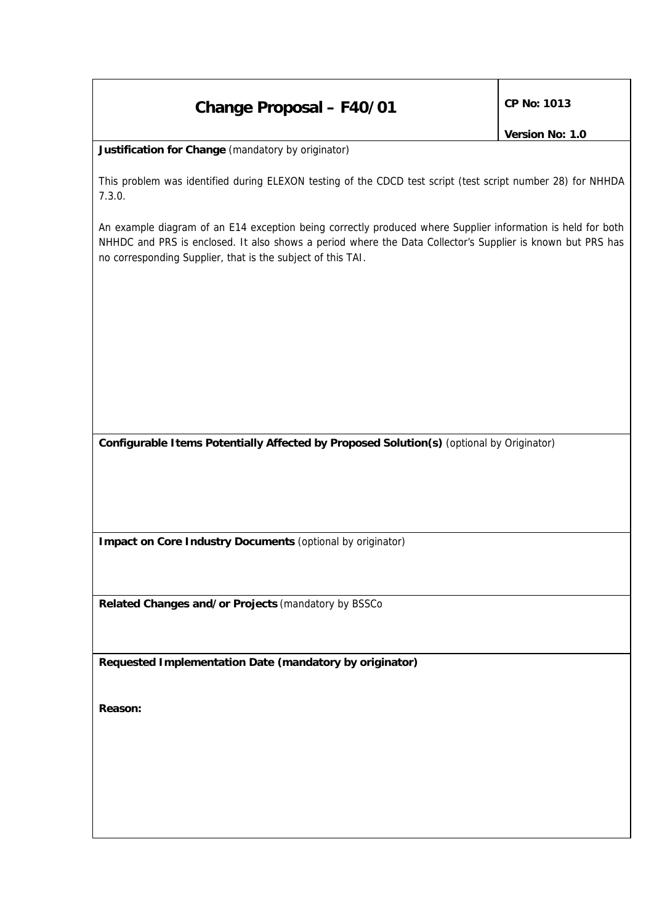## **Change Proposal – F40/01** CP No: 1013

*Version No: 1.0*

**Justification for Change** *(mandatory by originator)*

This problem was identified during ELEXON testing of the CDCD test script (test script number 28) for NHHDA 7.3.0.

An example diagram of an E14 exception being correctly produced where Supplier information is held for both NHHDC and PRS is enclosed. It also shows a period where the Data Collector's Supplier is known but PRS has no corresponding Supplier, that is the subject of this TAI.

**Configurable Items Potentially Affected by Proposed Solution(s)** *(optional by Originator)*

**Impact on Core Industry Documents** *(optional by originator)*

**Related Changes and/or Projects** *(mandatory by BSSCo*

**Requested Implementation Date** *(mandatory by originator)*

**Reason:**